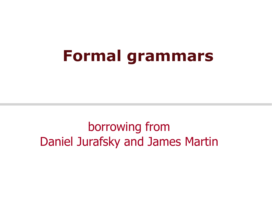### **Formal grammars**

borrowing from Daniel Jurafsky and James Martin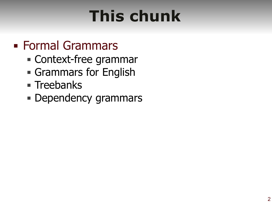# **This chunk**

### ■ Formal Grammars

- Context-free grammar
- **Grammars for English**
- **E** Treebanks
- **Dependency grammars**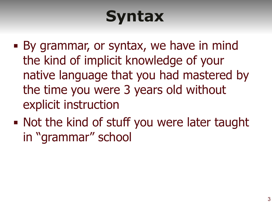# **Syntax**

- By grammar, or syntax, we have in mind the kind of implicit knowledge of your native language that you had mastered by the time you were 3 years old without explicit instruction
- Not the kind of stuff you were later taught in "grammar" school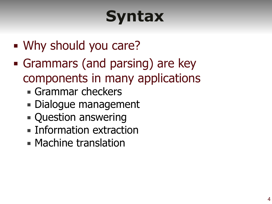# **Syntax**

- **Why should you care?**
- **Grammars (and parsing) are key** components in many applications
	- **Grammar checkers**
	- **Dialogue management**
	- **Question answering**
	- **Information extraction**
	- **Machine translation**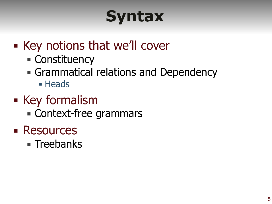# **Syntax**

- Key notions that we'll cover
	- Constituency
	- **Grammatical relations and Dependency** 
		- **E** Heads
- Key formalism
	- **Example 2 Context-free grammars**
- Resources
	- **Treebanks**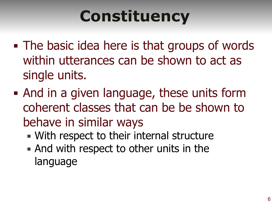# **Constituency**

- **The basic idea here is that groups of words** within utterances can be shown to act as single units.
- And in a given language, these units form coherent classes that can be be shown to behave in similar ways
	- **. With respect to their internal structure**
	- **And with respect to other units in the** language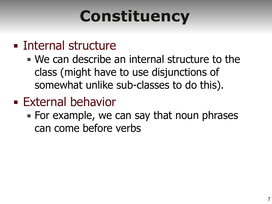# **Constituency**

### **Example 1** Internal structure

- $\blacksquare$  We can describe an internal structure to the class (might have to use disjunctions of somewhat unlike sub-classes to do this).
- **External behavior** 
	- $\blacksquare$  For example, we can say that noun phrases can come before verbs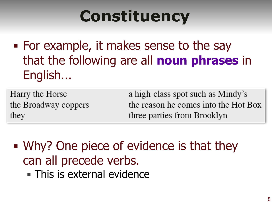## **Constituency**

■ For example, it makes sense to the say that the following are all **noun phrases** in English...

Harry the Horse the Broadway coppers they

a high-class spot such as Mindy's the reason he comes into the Hot Box three parties from Brooklyn

**• Why? One piece of evidence is that they** can all precede verbs. **This is external evidence**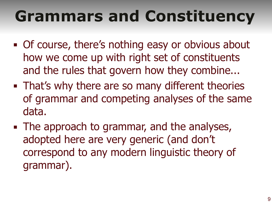# **Grammars and Constituency**

- **Of course, there's nothing easy or obvious about** how we come up with right set of constituents and the rules that govern how they combine...
- **That's why there are so many different theories** of grammar and competing analyses of the same data.
- **The approach to grammar, and the analyses,** adopted here are very generic (and don't correspond to any modern linguistic theory of grammar).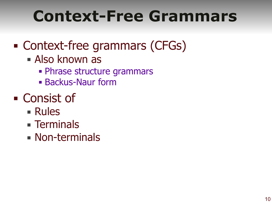### **Context-Free Grammars**

### ■ Context-free grammars (CFGs)

- **E** Also known as
	- **Phrase structure grammars**
	- **Backus-Naur form**
- Consist of
	- Rules
	- **Example 1**
	- **E** Non-terminals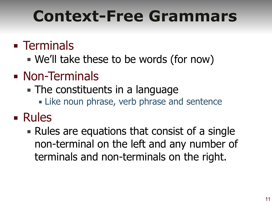### **Context-Free Grammars**

### **Example 1**

- We'll take these to be words (for now)
- Non-Terminals
	- $\blacksquare$  The constituents in a language
		- **Example 2 Filte noun phrase, verb phrase and sentence**
- Rules
	- Rules are equations that consist of a single non-terminal on the left and any number of terminals and non-terminals on the right.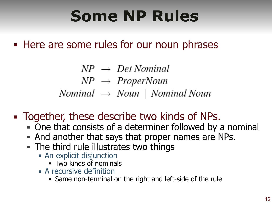## **Some NP Rules**

**EXTER 18 THERE Are Some rules for our noun phrases** 

 $NP \rightarrow Det Nominal$  $NP \rightarrow Property$ Nominal  $\rightarrow$  Noun | Nominal Noun

- Together, these describe two kinds of NPs.
	- One that consists of a determiner followed by a nominal
	- And another that says that proper names are NPs.
	- **The third rule illustrates two things** 
		- **-** An explicit disjunction
			- Two kinds of nominals
		- $\blacksquare$  A recursive definition
			- **.** Same non-terminal on the right and left-side of the rule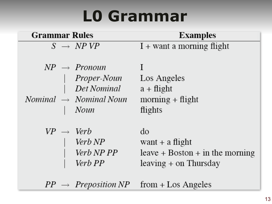### **L0 Grammar**

| <b>Grammar Rules</b>                                                                                 | <b>Examples</b>                                                                         |
|------------------------------------------------------------------------------------------------------|-----------------------------------------------------------------------------------------|
| $S \rightarrow NPVP$                                                                                 | $I +$ want a morning flight                                                             |
| $NP \rightarrow Pronoun$<br>Proper-Noun<br>Det Nominal<br>$Nominal \rightarrow Nominal Noun$<br>Noun | Los Angeles<br>$a + flight$<br>$\text{morning} + \text{flight}$<br>flights              |
| $VP \rightarrow Verb$<br>Verb <sub>NP</sub><br>Verb NP PP<br>Verb PP                                 | do<br>want $+$ a flight<br>$leave + Boston + in the morning$<br>$leaving + on Thursday$ |

 $PP \rightarrow \text{Preposition } NP \text{ from } + \text{Los Angeles}$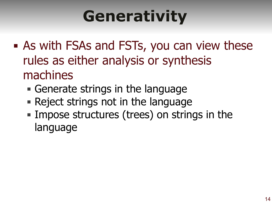# **Generativity**

- As with FSAs and FSTs, you can view these rules as either analysis or synthesis machines
	- **Example 13 Generate strings in the language**
	- Reject strings not in the language
	- **Impose structures (trees) on strings in the** language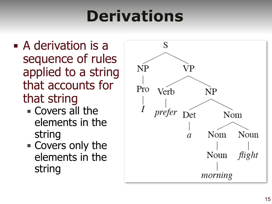# **Derivations**

- A derivation is a sequence of rules applied to a string that accounts for that string
	- **Exercise 1 Covers all the** elements in the string
	- Covers only the elements in the string

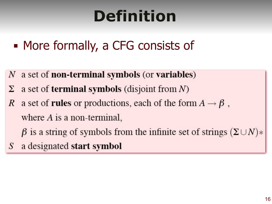# **Definition**

- More formally, a CFG consists of
- $N$  a set of **non-terminal symbols** (or **variables**)
- a set of **terminal symbols** (disjoint from  $N$ )
- a set of **rules** or productions, each of the form  $A \rightarrow \beta$ ,  $\mathbb{R}$ where  $A$  is a non-terminal,
	- $\beta$  is a string of symbols from the infinite set of strings  $(\Sigma \cup N)^*$
- a designated start symbol S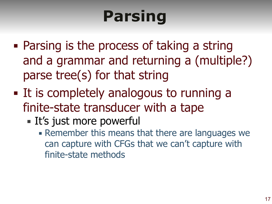# **Parsing**

- Parsing is the process of taking a string and a grammar and returning a (multiple?) parse tree(s) for that string
- It is completely analogous to running a finite-state transducer with a tape
	- It's just more powerful
		- **. Remember this means that there are languages we** can capture with CFGs that we can't capture with finite-state methods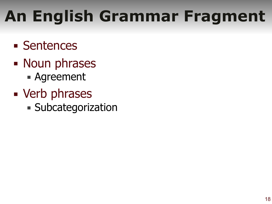# **An English Grammar Fragment**

- Sentences
- Noun phrases ■ Agreement
- **E** Verb phrases **Example 2 Subcategorization**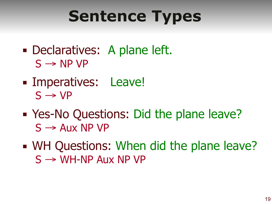# **Sentence Types**

- Declaratives: A plane left.  $S \rightarrow NP VP$
- **Example Imperatives: Leave!**  $S \rightarrow VP$
- Yes-No Questions: Did the plane leave?  $S \rightarrow$  Aux NP VP
- WH Questions: When did the plane leave?  $S \rightarrow WH-NP$  Aux NP VP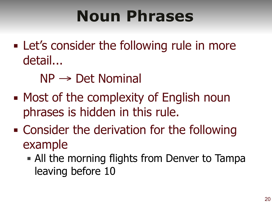## **Noun Phrases**

- Let's consider the following rule in more detail...
	- $NP \rightarrow Det$  Nominal
- Most of the complexity of English noun phrases is hidden in this rule.
- **EXEC** Consider the derivation for the following example
	- **I** All the morning flights from Denver to Tampa leaving before 10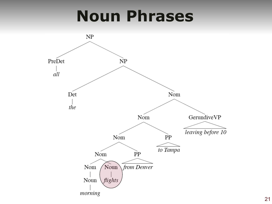### **Noun Phrases**

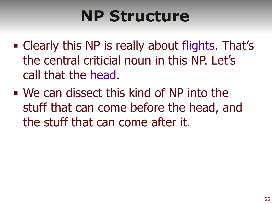### **NP Structure**

- Clearly this NP is really about flights. That's the central criticial noun in this NP. Let's call that the head.
- We can dissect this kind of NP into the stuff that can come before the head, and the stuff that can come after it.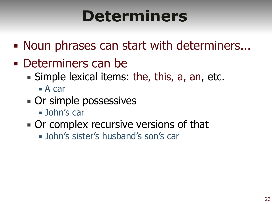### **Determiners**

- Noun phrases can start with determiners...
- Determiners can be
	- **E** Simple lexical items: the, this, a, an, etc.
		- $\blacksquare$  A car
	- **Or simple possessives** 
		- John's car
	- Or complex recursive versions of that
		- John's sister's husband's son's car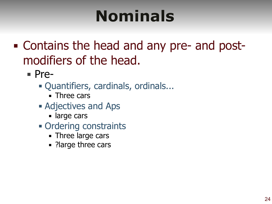## **Nominals**

- Contains the head and any pre- and postmodifiers of the head.
	- Pre-
		- Quantifiers, cardinals, ordinals...
			- $\blacksquare$  Three cars
		- **Example 2 Adjectives and Aps** 
			- large cars
		- Ordering constraints
			- **Three large cars**
			- ?large three cars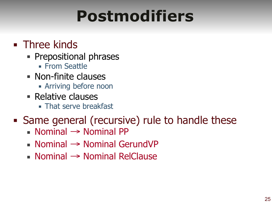### **Postmodifiers**

#### **Example 2** Three kinds

- **Prepositional phrases** 
	- **Example Seattle**
- Non-finite clauses
	- **EXECT:** Arriving before noon
- Relative clauses
	- **That serve breakfast**

#### • Same general (recursive) rule to handle these

- $\blacksquare$  Nominal  $\rightarrow$  Nominal PP
- Nominal → Nominal GerundVP
- Nominal → Nominal RelClause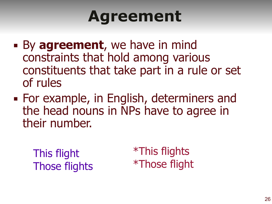### **Agreement**

- **By agreement**, we have in mind constraints that hold among various constituents that take part in a rule or set of rules
- For example, in English, determiners and the head nouns in NPs have to agree in their number.

This flight Those flights \*This flights \*Those flight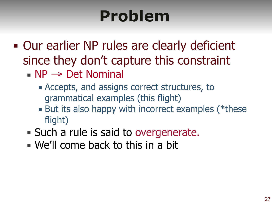# **Problem**

- **Our earlier NP rules are clearly deficient** since they don't capture this constraint
	- $\blacksquare$  NP  $\rightarrow$  Det Nominal
		- **EXCEPTS, and assigns correct structures, to** grammatical examples (this flight)
		- But its also happy with incorrect examples (\*these flight)
	- Such a rule is said to overgenerate.
	- $\blacksquare$  We'll come back to this in a bit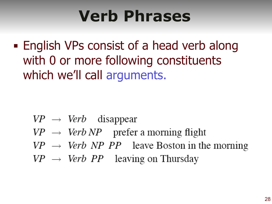### **Verb Phrases**

**English VPs consist of a head verb along** with 0 or more following constituents which we'll call arguments.

- $VP \rightarrow Verb$  disappear
- $VP \rightarrow Verb\ NP$  prefer a morning flight
- $VP \rightarrow Verb \ NP \ PP$  leave Boston in the morning
- $VP \rightarrow Verb PP$  leaving on Thursday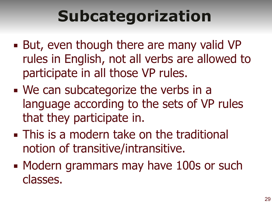# **Subcategorization**

- But, even though there are many valid VP rules in English, not all verbs are allowed to participate in all those VP rules.
- We can subcategorize the verbs in a language according to the sets of VP rules that they participate in.
- **This is a modern take on the traditional** notion of transitive/intransitive.
- Modern grammars may have 100s or such classes.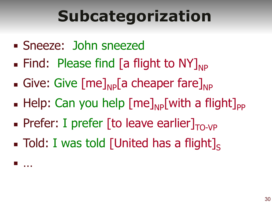# **Subcategorization**

**Example 2 Sneezed: John sneezed** 

 $\mathbb{R}^n$  .  $\mathbb{R}^n$ 

- $\blacksquare$  Find: Please find [a flight to NY]<sub>NP</sub>
- **Give: Give [me]** $_{NP}$ [a cheaper fare] $_{NP}$
- **Example 11 Help:** Can you help  $[me]_{NP}$  with a flight]<sub>PP</sub>
- **Prefer: I prefer [to leave earlier]** $_{TO-VP}$
- $\blacksquare$  Told: I was told [United has a flight].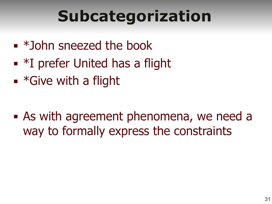# **Subcategorization**

- $\bullet$  \*John sneezed the book
- $\blacksquare$  \*I prefer United has a flight
- $\blacksquare$  \*Give with a flight

**Exagger 1 As with agreement phenomena, we need a** way to formally express the constraints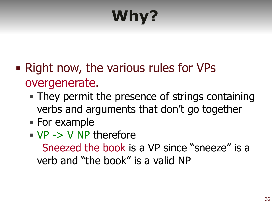# **Why?**

- Right now, the various rules for VPs overgenerate.
	- **They permit the presence of strings containing** verbs and arguments that don't go together
	- For example
	- $\blacksquare$  VP -> V NP therefore

Sneezed the book is a VP since "sneeze" is a verb and "the book" is a valid NP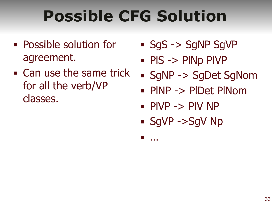# **Possible CFG Solution**

- Possible solution for agreement.
- Can use the same trick for all the verb/VP classes.
- SgS -> SgNP SqVP
- PIS -> PINp PIVP
- SgNP -> SgDet SgNom
- PlNP -> PlDet PlNom
- $\blacksquare$  PIVP  $\rightarrow$  PIV NP
- SqVP ->SqV Np

▪ …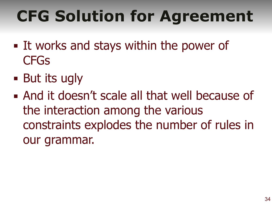# **CFG Solution for Agreement**

- **Example 11 works and stays within the power of CFGs**
- $\blacksquare$  But its ugly
- And it doesn't scale all that well because of the interaction among the various constraints explodes the number of rules in our grammar.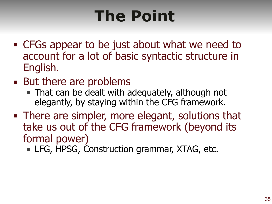# **The Point**

- CFGs appear to be just about what we need to account for a lot of basic syntactic structure in English.
- But there are problems
	- **That can be dealt with adequately, although not** elegantly, by staying within the CFG framework.
- **There are simpler, more elegant, solutions that** take us out of the CFG framework (beyond its formal power)
	- **EXAGE, HPSG, Construction grammar, XTAG, etc.**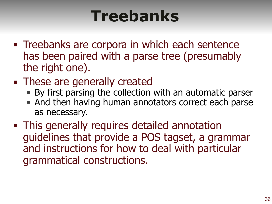### **Treebanks**

- **Treebanks are corpora in which each sentence** has been paired with a parse tree (presumably the right one).
- **These are generally created** 
	- By first parsing the collection with an automatic parser
	- And then having human annotators correct each parse as necessary.
- **This generally requires detailed annotation** guidelines that provide a POS tagset, a grammar and instructions for how to deal with particular grammatical constructions.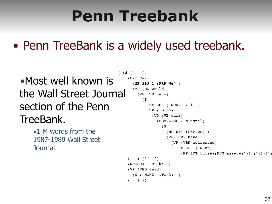### **Penn Treebank**

### **• Penn TreeBank is a widely used treebank.**

▪Most well known is the Wall Street Journal section of the Penn TreeBank.

> $\blacksquare$  1 M words from the 1987-1989 Wall Street Journal.

```
( (S ('''')
(S-TPC-2)(NP-SBJ-1 (PRP We) )(VP (MD would)
    (VP (VB have)
      (S)(NP-SBJ (-NONE- *-1))(VP (TO to)(VP (VB wait)
            (SBAR-TMP (IN until)
              (S
                (NP-SBJ (PRP we) )(VP (VBP have)
                   (VP (VBN collected)
                     (PP-CLR (IN on)
                       (NP (DT those)(NNS assets))))))))))))(r, r) ('' '')(NP-SBJ (PRP he) )(VP (VBD said)
  (S (-NONE- *T*-2)) )( \cdot \cdot ))
```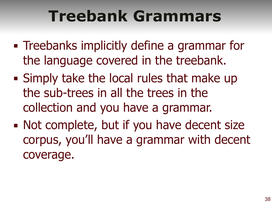### **Treebank Grammars**

- **Example 1** Treebanks implicitly define a grammar for the language covered in the treebank.
- **E** Simply take the local rules that make up the sub-trees in all the trees in the collection and you have a grammar.
- Not complete, but if you have decent size corpus, you'll have a grammar with decent coverage.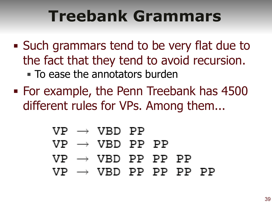### **Treebank Grammars**

- Such grammars tend to be very flat due to the fact that they tend to avoid recursion. **To ease the annotators burden**
- For example, the Penn Treebank has 4500 different rules for VPs. Among them...
	- $VP \rightarrow VBD PP$  $VP \rightarrow VBD PP PP$  $VP \rightarrow VBD PP PP PP$  $VP \rightarrow VBD$  PP PP PP PP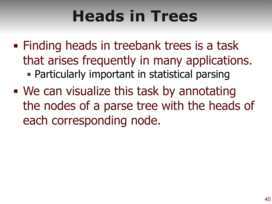## **Heads in Trees**

- **Example 1 Finding heads in treebank trees is a task** that arises frequently in many applications. **• Particularly important in statistical parsing**
- We can visualize this task by annotating the nodes of a parse tree with the heads of each corresponding node.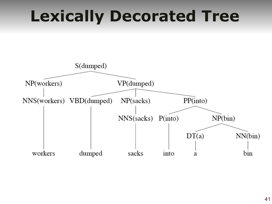### **Lexically Decorated Tree**

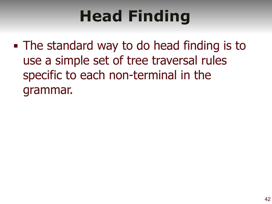# **Head Finding**

• The standard way to do head finding is to use a simple set of tree traversal rules specific to each non-terminal in the grammar.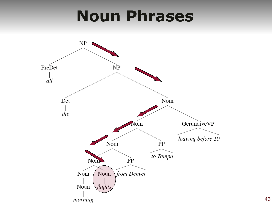### **Noun Phrases**

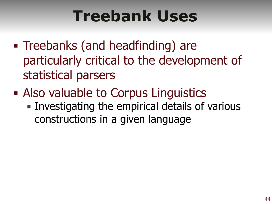## **Treebank Uses**

- Treebanks (and headfinding) are particularly critical to the development of statistical parsers
- Also valuable to Corpus Linguistics
	- **Investigating the empirical details of various** constructions in a given language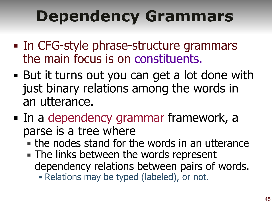# **Dependency Grammars**

- In CFG-style phrase-structure grammars the main focus is on constituents.
- But it turns out you can get a lot done with just binary relations among the words in an utterance.
- In a dependency grammar framework, a parse is a tree where
	- $\blacksquare$  the nodes stand for the words in an utterance
	- **The links between the words represent** dependency relations between pairs of words.
		- **Example 1 Relations may be typed (labeled), or not.**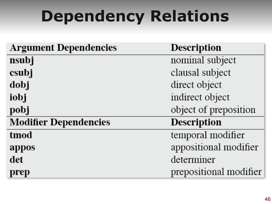# **Dependency Relations**

| <b>Argument Dependencies</b> | <b>Description</b>     |
|------------------------------|------------------------|
| nsubj                        | nominal subject        |
| csubj                        | clausal subject        |
| dobj                         | direct object          |
| iobj                         | indirect object        |
| pobj                         | object of preposition  |
| <b>Modifier Dependencies</b> | <b>Description</b>     |
| tmod                         | temporal modifier      |
| appos                        | appositional modifier  |
| det                          | determiner             |
| prep                         | prepositional modifier |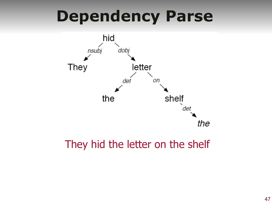**Dependency Parse**



#### They hid the letter on the shelf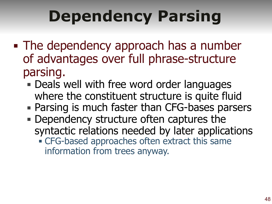# **Dependency Parsing**

- The dependency approach has a number of advantages over full phrase-structure parsing.
	- **Deals well with free word order languages** where the constituent structure is quite fluid
	- Parsing is much faster than CFG-bases parsers
	- **Dependency structure often captures the** syntactic relations needed by later applications **EXEC-based approaches often extract this same** information from trees anyway.